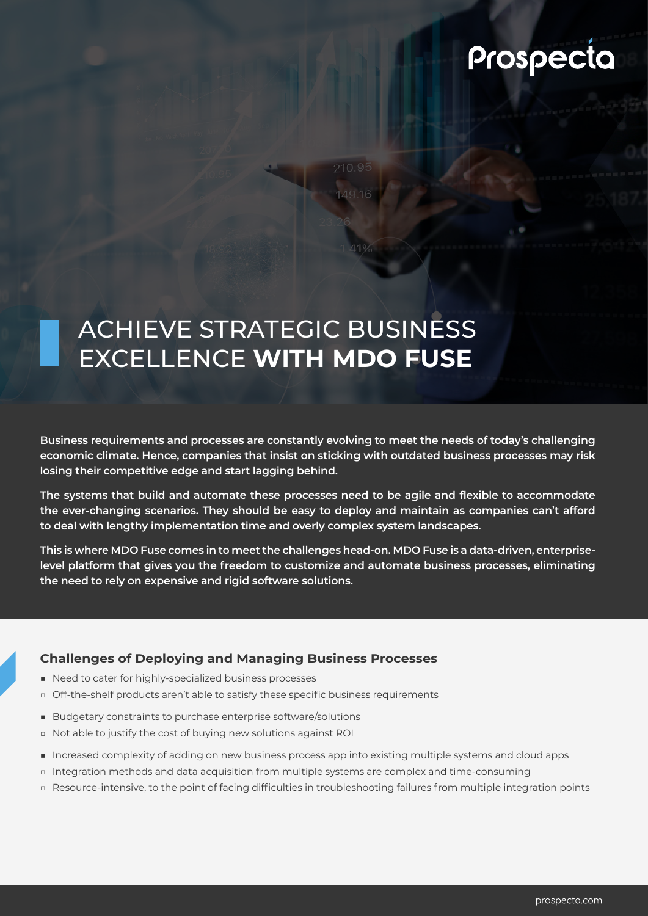# Prospecta

# ACHIEVE STRATEGIC BUSINESS EXCELLENCE **WITH MDO FUSE**

**Business requirements and processes are constantly evolving to meet the needs of today's challenging economic climate. Hence, companies that insist on sticking with outdated business processes may risk losing their competitive edge and start lagging behind.**

**The systems that build and automate these processes need to be agile and flexible to accommodate the ever-changing scenarios. They should be easy to deploy and maintain as companies can't afford to deal with lengthy implementation time and overly complex system landscapes.** 

**This is where MDO Fuse comes in to meet the challenges head-on. MDO Fuse is a data-driven, enterpriselevel platform that gives you the freedom to customize and automate business processes, eliminating the need to rely on expensive and rigid software solutions.** 

# **Challenges of Deploying and Managing Business Processes**

- Need to cater for highly-specialized business processes
- □ Off-the-shelf products aren't able to satisfy these specific business requirements
- Budgetary constraints to purchase enterprise software/solutions
- □ Not able to justify the cost of buying new solutions against ROI
- Increased complexity of adding on new business process app into existing multiple systems and cloud apps
- □ Integration methods and data acquisition from multiple systems are complex and time-consuming
- □ Resource-intensive, to the point of facing difficulties in troubleshooting failures from multiple integration points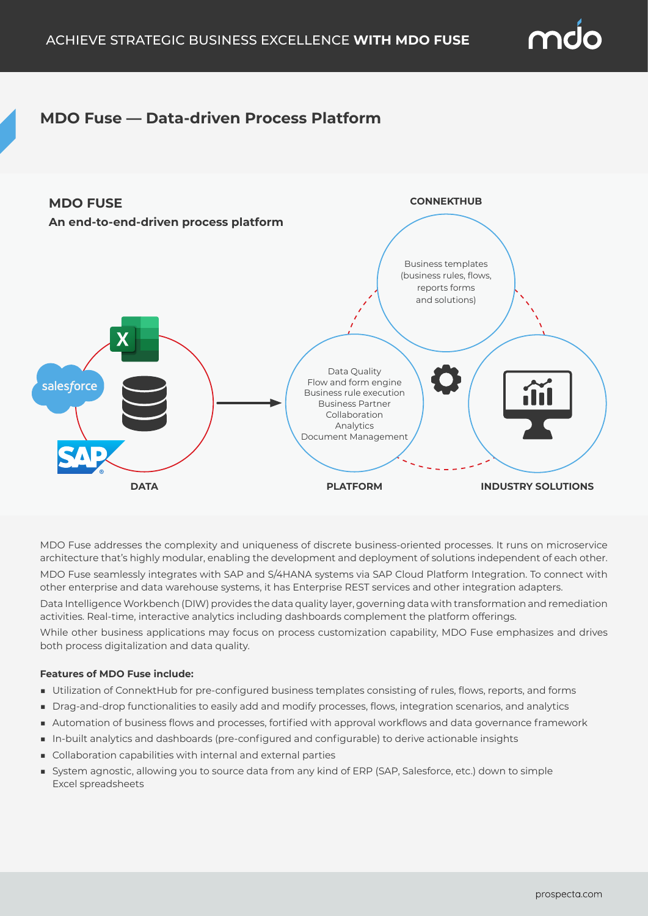

# **MDO Fuse — Data-driven Process Platform**



MDO Fuse addresses the complexity and uniqueness of discrete business-oriented processes. It runs on microservice architecture that's highly modular, enabling the development and deployment of solutions independent of each other. MDO Fuse seamlessly integrates with SAP and S/4HANA systems via SAP Cloud Platform Integration. To connect with other enterprise and data warehouse systems, it has Enterprise REST services and other integration adapters.

Data Intelligence Workbench (DIW) provides the data quality layer, governing data with transformation and remediation activities. Real-time, interactive analytics including dashboards complement the platform offerings.

While other business applications may focus on process customization capability, MDO Fuse emphasizes and drives both process digitalization and data quality.

## **Features of MDO Fuse include:**

- Utilization of ConnektHub for pre-configured business templates consisting of rules, flows, reports, and forms
- Drag-and-drop functionalities to easily add and modify processes, flows, integration scenarios, and analytics
- Automation of business flows and processes, fortified with approval workflows and data governance framework
- In-built analytics and dashboards (pre-configured and configurable) to derive actionable insights
- Collaboration capabilities with internal and external parties
- System agnostic, allowing you to source data from any kind of ERP (SAP, Salesforce, etc.) down to simple Excel spreadsheets